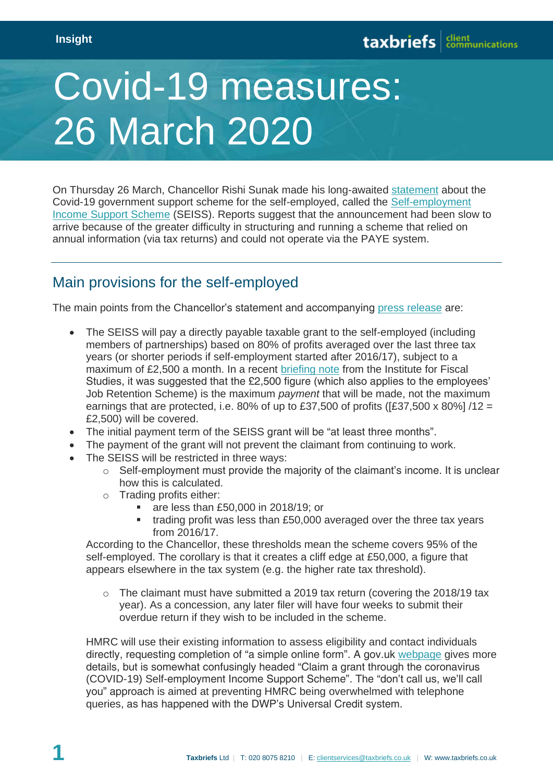## Covid-19 measures: 26 March 2020

On Thursday 26 March, Chancellor Rishi Sunak made his long-awaited [statement](https://www.gov.uk/government/news/chancellor-gives-support-to-millions-of-self-employed-individuals) about the Covid-19 government support scheme for the self-employed, called the [Self-employment](https://www.gov.uk/government/publications/guidance-to-employers-and-businesses-about-covid-19/covid-19-support-for-businesses#support-for-self-employed-through-the-self-employment-income-support-scheme)  [Income Support Scheme](https://www.gov.uk/government/publications/guidance-to-employers-and-businesses-about-covid-19/covid-19-support-for-businesses#support-for-self-employed-through-the-self-employment-income-support-scheme) (SEISS). Reports suggest that the announcement had been slow to arrive because of the greater difficulty in structuring and running a scheme that relied on annual information (via tax returns) and could not operate via the PAYE system.

## Main provisions for the self-employed

The main points from the Chancellor's statement and accompanying [press release](https://www.gov.uk/government/news/chancellor-gives-support-to-millions-of-self-employed-individuals) are:

- The SEISS will pay a directly payable taxable grant to the self-employed (including members of partnerships) based on 80% of profits averaged over the last three tax years (or shorter periods if self-employment started after 2016/17), subject to a maximum of £2,500 a month. In a recent [briefing note](https://www.ifs.org.uk/publications/14768) from the Institute for Fiscal Studies, it was suggested that the £2,500 figure (which also applies to the employees' Job Retention Scheme) is the maximum *payment* that will be made, not the maximum earnings that are protected, i.e. 80% of up to £37,500 of profits ( $[£37,500 \times 80\%]/12 =$ £2,500) will be covered.
- The initial payment term of the SEISS grant will be "at least three months".
- The payment of the grant will not prevent the claimant from continuing to work.
- The SEISS will be restricted in three ways:
	- o Self-employment must provide the majority of the claimant's income. It is unclear how this is calculated.
	- o Trading profits either:
		- **are less than £50,000 in 2018/19; or**
		- trading profit was less than £50,000 averaged over the three tax years from 2016/17.

According to the Chancellor, these thresholds mean the scheme covers 95% of the self-employed. The corollary is that it creates a cliff edge at £50,000, a figure that appears elsewhere in the tax system (e.g. the higher rate tax threshold).

 $\circ$  The claimant must have submitted a 2019 tax return (covering the 2018/19 tax year). As a concession, any later filer will have four weeks to submit their overdue return if they wish to be included in the scheme.

HMRC will use their existing information to assess eligibility and contact individuals directly, requesting completion of "a simple online form". A gov.uk [webpage](https://www.gov.uk/guidance/claim-a-grant-through-the-coronavirus-covid-19-self-employment-income-support-scheme) gives more details, but is somewhat confusingly headed "Claim a grant through the coronavirus (COVID-19) Self-employment Income Support Scheme". The "don't call us, we'll call you" approach is aimed at preventing HMRC being overwhelmed with telephone queries, as has happened with the DWP's Universal Credit system.